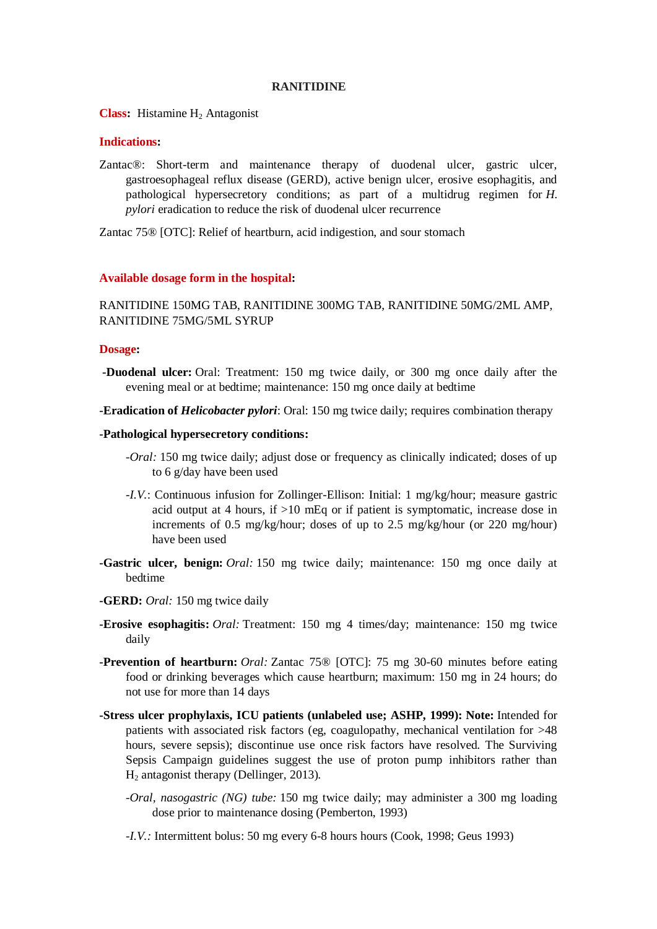### **RANITIDINE**

**Class:** Histamine H<sub>2</sub> Antagonist

# **Indications:**

Zantac®: Short-term and maintenance therapy of duodenal ulcer, gastric ulcer, gastroesophageal reflux disease (GERD), active benign ulcer, erosive esophagitis, and pathological hypersecretory conditions; as part of a multidrug regimen for *H. pylori* eradication to reduce the risk of duodenal ulcer recurrence

Zantac 75® [OTC]: Relief of heartburn, acid indigestion, and sour stomach

## **Available dosage form in the hospital:**

RANITIDINE 150MG TAB, RANITIDINE 300MG TAB, RANITIDINE 50MG/2ML AMP, RANITIDINE 75MG/5ML SYRUP

### **Dosage:**

- **-Duodenal ulcer:** Oral: Treatment: 150 mg twice daily, or 300 mg once daily after the evening meal or at bedtime; maintenance: 150 mg once daily at bedtime
- **-Eradication of** *Helicobacter pylori*: Oral: 150 mg twice daily; requires combination therapy

### **-Pathological hypersecretory conditions:**

- *-Oral:* 150 mg twice daily; adjust dose or frequency as clinically indicated; doses of up to 6 g/day have been used
- *-I.V.*: Continuous infusion for Zollinger-Ellison: Initial: 1 mg/kg/hour; measure gastric acid output at 4 hours, if >10 mEq or if patient is symptomatic, increase dose in increments of 0.5 mg/kg/hour; doses of up to 2.5 mg/kg/hour (or 220 mg/hour) have been used
- **-Gastric ulcer, benign:** *Oral:* 150 mg twice daily; maintenance: 150 mg once daily at bedtime
- **-GERD:** *Oral:* 150 mg twice daily
- **-Erosive esophagitis:** *Oral:* Treatment: 150 mg 4 times/day; maintenance: 150 mg twice daily
- **-Prevention of heartburn:** *Oral:* Zantac 75® [OTC]: 75 mg 30-60 minutes before eating food or drinking beverages which cause heartburn; maximum: 150 mg in 24 hours; do not use for more than 14 days
- **-Stress ulcer prophylaxis, ICU patients (unlabeled use; ASHP, 1999): Note:** Intended for patients with associated risk factors (eg, coagulopathy, mechanical ventilation for >48 hours, severe sepsis); discontinue use once risk factors have resolved. The Surviving Sepsis Campaign guidelines suggest the use of proton pump inhibitors rather than H<sup>2</sup> antagonist therapy (Dellinger, 2013).
	- *-Oral, nasogastric (NG) tube:* 150 mg twice daily; may administer a 300 mg loading dose prior to maintenance dosing (Pemberton, 1993)
	- *-I.V.:* Intermittent bolus: 50 mg every 6-8 hours hours (Cook, 1998; Geus 1993)